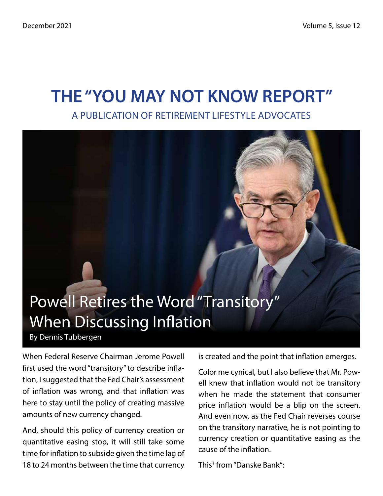# THE "YOU MAY NOT KNOW REPORT" A PUBLICATION OF RETIREMENT LIFESTYLE ADVOCATES

# Powell Retires the Word "Transitory" When Discussing Inflation By Dennis Tubbergen

When Federal Reserve Chairman Jerome Powell first used the word "transitory" to describe inflation, I suggested that the Fed Chair's assessment of inflation was wrong, and that inflation was here to stay until the policy of creating massive amounts of new currency changed.

And, should this policy of currency creation or quantitative easing stop, it will still take some time for inflation to subside given the time lag of 18 to 24 months between the time that currency is created and the point that inflation emerges.

Color me cynical, but I also believe that Mr. Powell knew that inflation would not be transitory when he made the statement that consumer price inflation would be a blip on the screen. And even now, as the Fed Chair reverses course on the transitory narrative, he is not pointing to currency creation or quantitative easing as the cause of the inflation.

This1 from "Danske Bank":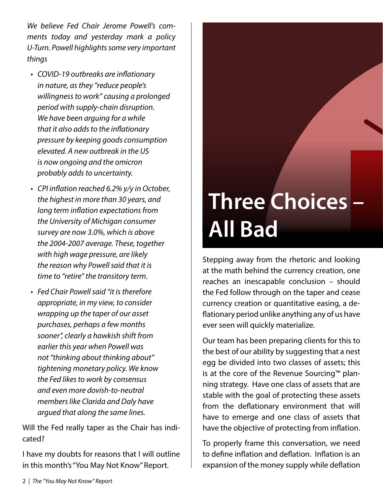*We believe Fed Chair Jerome Powell's comments today and yesterday mark a policy U-Turn. Powell highlights some very important things* 

- *• COVID-19 outbreaks are inflationary in nature, as they "reduce people's willingness to work" causing a prolonged period with supply-chain disruption. We have been arguing for a while that it also adds to the inflationary pressure by keeping goods consumption elevated. A new outbreak in the US is now ongoing and the omicron probably adds to uncertainty.*
- *• CPI inflation reached 6.2% y/y in October, the highest in more than 30 years, and long term inflation expectations from the University of Michigan consumer survey are now 3.0%, which is above the 2004-2007 average. These, together with high wage pressure, are likely the reason why Powell said that it is time to "retire" the transitory term.*
- *• Fed Chair Powell said "it is therefore appropriate, in my view, to consider wrapping up the taper of our asset purchases, perhaps a few months sooner", clearly a hawkish shift from earlier this year when Powell was not "thinking about thinking about" tightening monetary policy. We know the Fed likes to work by consensus and even more dovish-to-neutral members like Clarida and Daly have argued that along the same lines.*

Will the Fed really taper as the Chair has indicated?

I have my doubts for reasons that I will outline in this month's "You May Not Know" Report.

# Three Choices – All Bad

Stepping away from the rhetoric and looking at the math behind the currency creation, one reaches an inescapable conclusion – should the Fed follow through on the taper and cease currency creation or quantitative easing, a deflationary period unlike anything any of us have ever seen will quickly materialize.

Our team has been preparing clients for this to the best of our ability by suggesting that a nest egg be divided into two classes of assets; this is at the core of the Revenue Sourcing™ planning strategy. Have one class of assets that are stable with the goal of protecting these assets from the deflationary environment that will have to emerge and one class of assets that have the objective of protecting from inflation.

To properly frame this conversation, we need to define inflation and deflation. Inflation is an expansion of the money supply while deflation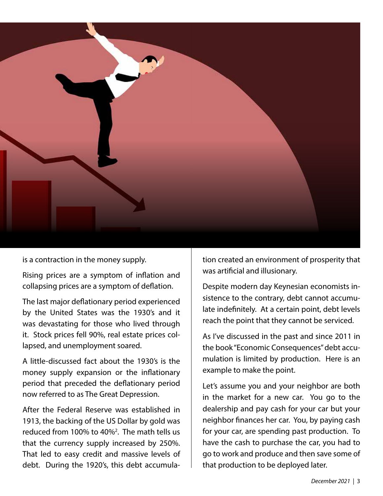

is a contraction in the money supply.

Rising prices are a symptom of inflation and collapsing prices are a symptom of deflation.

The last major deflationary period experienced by the United States was the 1930's and it was devastating for those who lived through it. Stock prices fell 90%, real estate prices collapsed, and unemployment soared.

A little-discussed fact about the 1930's is the money supply expansion or the inflationary period that preceded the deflationary period now referred to as The Great Depression.

After the Federal Reserve was established in 1913, the backing of the US Dollar by gold was reduced from 100% to 40%2 . The math tells us that the currency supply increased by 250%. That led to easy credit and massive levels of debt. During the 1920's, this debt accumulation created an environment of prosperity that was artificial and illusionary.

Despite modern day Keynesian economists insistence to the contrary, debt cannot accumulate indefinitely. At a certain point, debt levels reach the point that they cannot be serviced.

As I've discussed in the past and since 2011 in the book "Economic Consequences" debt accumulation is limited by production. Here is an example to make the point.

Let's assume you and your neighbor are both in the market for a new car. You go to the dealership and pay cash for your car but your neighbor finances her car. You, by paying cash for your car, are spending past production. To have the cash to purchase the car, you had to go to work and produce and then save some of that production to be deployed later.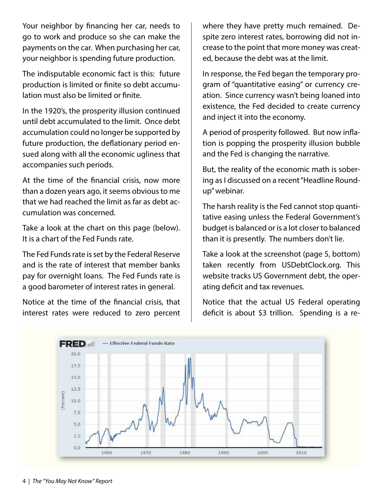Your neighbor by financing her car, needs to go to work and produce so she can make the payments on the car. When purchasing her car, your neighbor is spending future production.

The indisputable economic fact is this: future production is limited or finite so debt accumulation must also be limited or finite.

In the 1920's, the prosperity illusion continued until debt accumulated to the limit. Once debt accumulation could no longer be supported by future production, the deflationary period ensued along with all the economic ugliness that accompanies such periods.

At the time of the financial crisis, now more than a dozen years ago, it seems obvious to me that we had reached the limit as far as debt accumulation was concerned.

Take a look at the chart on this page (below). It is a chart of the Fed Funds rate.

The Fed Funds rate is set by the Federal Reserve and is the rate of interest that member banks pay for overnight loans. The Fed Funds rate is a good barometer of interest rates in general.

Notice at the time of the financial crisis, that interest rates were reduced to zero percent

where they have pretty much remained. Despite zero interest rates, borrowing did not increase to the point that more money was created, because the debt was at the limit.

In response, the Fed began the temporary program of "quantitative easing" or currency creation. Since currency wasn't being loaned into existence, the Fed decided to create currency and inject it into the economy.

A period of prosperity followed. But now inflation is popping the prosperity illusion bubble and the Fed is changing the narrative.

But, the reality of the economic math is sobering as I discussed on a recent "Headline Roundup" webinar.

The harsh reality is the Fed cannot stop quantitative easing unless the Federal Government's budget is balanced or is a lot closer to balanced than it is presently. The numbers don't lie.

Take a look at the screenshot (page 5, bottom) taken recently from USDebtClock.org. This website tracks US Government debt, the operating deficit and tax revenues.

Notice that the actual US Federal operating deficit is about \$3 trillion. Spending is a re-

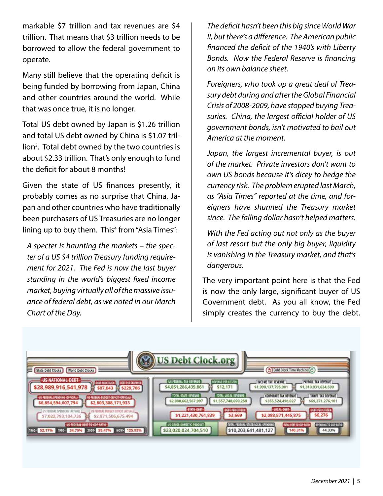markable \$7 trillion and tax revenues are \$4 trillion. That means that \$3 trillion needs to be borrowed to allow the federal government to operate.

Many still believe that the operating deficit is being funded by borrowing from Japan, China and other countries around the world. While that was once true, it is no longer.

Total US debt owned by Japan is \$1.26 trillion and total US debt owned by China is \$1.07 trillion<sup>3</sup>. Total debt owned by the two countries is about \$2.33 trillion. That's only enough to fund the deficit for about 8 months!

Given the state of US finances presently, it probably comes as no surprise that China, Japan and other countries who have traditionally been purchasers of US Treasuries are no longer lining up to buy them. This<sup>4</sup> from "Asia Times":

*A specter is haunting the markets – the specter of a US \$4 trillion Treasury funding requirement for 2021. The Fed is now the last buyer standing in the world's biggest fixed income market, buying virtually all of the massive issuance of federal debt, as we noted in our March Chart of the Day.*

*The deficit hasn't been this big since World War II, but there's a difference. The American public financed the deficit of the 1940's with Liberty Bonds. Now the Federal Reserve is financing on its own balance sheet.*

*Foreigners, who took up a great deal of Treasury debt during and after the Global Financial Crisis of 2008-2009, have stopped buying Treasuries. China, the largest official holder of US government bonds, isn't motivated to bail out America at the moment.* 

*Japan, the largest incremental buyer, is out of the market. Private investors don't want to own US bonds because it's dicey to hedge the currency risk. The problem erupted last March, as "Asia Times" reported at the time, and foreigners have shunned the Treasury market since. The falling dollar hasn't helped matters.*

*With the Fed acting out not only as the buyer of last resort but the only big buyer, liquidity is vanishing in the Treasury market, and that's dangerous.*

The very important point here is that the Fed is now the only large, significant buyer of US Government debt. As you all know, the Fed simply creates the currency to buy the debt.

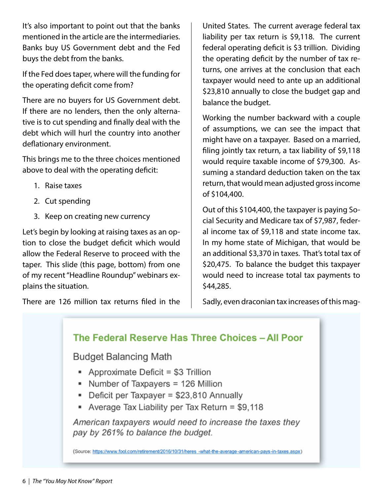It's also important to point out that the banks mentioned in the article are the intermediaries. Banks buy US Government debt and the Fed buys the debt from the banks.

If the Fed does taper, where will the funding for the operating deficit come from?

There are no buyers for US Government debt. If there are no lenders, then the only alternative is to cut spending and finally deal with the debt which will hurl the country into another deflationary environment.

This brings me to the three choices mentioned above to deal with the operating deficit:

- 1. Raise taxes
- 2. Cut spending
- 3. Keep on creating new currency

Let's begin by looking at raising taxes as an option to close the budget deficit which would allow the Federal Reserve to proceed with the taper. This slide (this page, bottom) from one of my recent "Headline Roundup" webinars explains the situation.

There are 126 million tax returns filed in the

United States. The current average federal tax liability per tax return is \$9,118. The current federal operating deficit is \$3 trillion. Dividing the operating deficit by the number of tax returns, one arrives at the conclusion that each taxpayer would need to ante up an additional \$23,810 annually to close the budget gap and balance the budget.

Working the number backward with a couple of assumptions, we can see the impact that might have on a taxpayer. Based on a married, filing jointly tax return, a tax liability of \$9,118 would require taxable income of \$79,300. Assuming a standard deduction taken on the tax return, that would mean adjusted gross income of \$104,400.

Out of this \$104,400, the taxpayer is paying Social Security and Medicare tax of \$7,987, federal income tax of \$9,118 and state income tax. In my home state of Michigan, that would be an additional \$3,370 in taxes. That's total tax of \$20,475. To balance the budget this taxpayer would need to increase total tax payments to \$44,285.

Sadly, even draconian tax increases of this mag-

#### The Federal Reserve Has Three Choices - All Poor

**Budget Balancing Math** 

- Approximate Deficit =  $$3$  Trillion
- Number of Taxpayers = 126 Million
- Deficit per Taxpayer = \$23,810 Annually
- Average Tax Liability per Tax Return = \$9,118

American taxpayers would need to increase the taxes they pay by 261% to balance the budget.

(Source: https://www.fool.com/retirement/2016/10/31/heres -what-the-average-american-pays-in-taxes.aspx)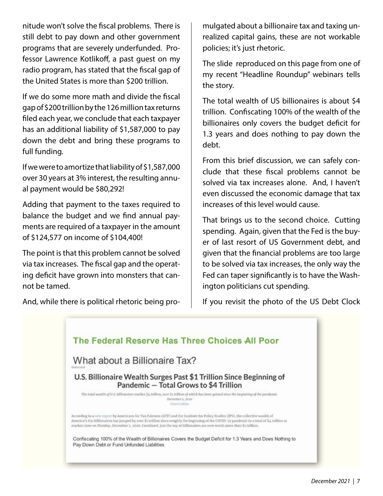nitude won't solve the fiscal problems. There is still debt to pay down and other government programs that are severely underfunded. Professor Lawrence Kotlikoff, a past guest on my radio program, has stated that the fiscal gap of the United States is more than \$200 trillion.

If we do some more math and divide the fiscal gap of \$200 trillion by the 126 million tax returns filed each year, we conclude that each taxpayer has an additional liability of \$1,587,000 to pay down the debt and bring these programs to full funding.

If we were to amortize that liability of \$1,587,000 over 30 years at 3% interest, the resulting annual payment would be \$80,292!

Adding that payment to the taxes required to balance the budget and we find annual payments are required of a taxpayer in the amount of \$124,577 on income of \$104,400!

The point is that this problem cannot be solved via tax increases. The fiscal gap and the operating deficit have grown into monsters that cannot be tamed.

And, while there is political rhetoric being pro-

mulgated about a billionaire tax and taxing unrealized capital gains, these are not workable policies; it's just rhetoric.

The slide reproduced on this page from one of my recent "Headline Roundup" webinars tells the story.

The total wealth of US billionaires is about \$4 trillion. Confiscating 100% of the wealth of the billionaires only covers the budget deficit for 1.3 years and does nothing to pay down the debt.

From this brief discussion, we can safely conclude that these fiscal problems cannot be solved via tax increases alone. And, I haven't even discussed the economic damage that tax increases of this level would cause.

That brings us to the second choice. Cutting spending. Again, given that the Fed is the buyer of last resort of US Government debt, and given that the financial problems are too large to be solved via tax increases, the only way the Fed can taper significantly is to have the Washington politicians cut spending.

If you revisit the photo of the US Debt Clock

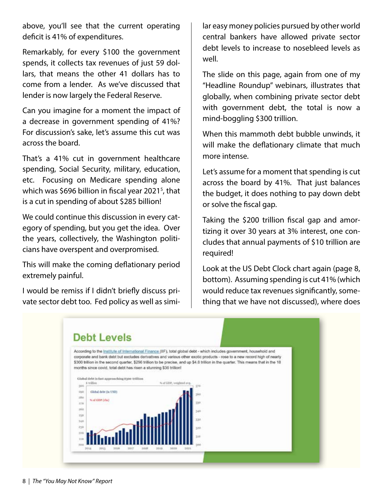above, you'll see that the current operating deficit is 41% of expenditures.

Remarkably, for every \$100 the government spends, it collects tax revenues of just 59 dollars, that means the other 41 dollars has to come from a lender. As we've discussed that lender is now largely the Federal Reserve.

Can you imagine for a moment the impact of a decrease in government spending of 41%? For discussion's sake, let's assume this cut was across the board.

That's a 41% cut in government healthcare spending, Social Security, military, education, etc. Focusing on Medicare spending alone which was \$696 billion in fiscal year 2021<sup>5</sup>, that is a cut in spending of about \$285 billion!

We could continue this discussion in every category of spending, but you get the idea. Over the years, collectively, the Washington politicians have overspent and overpromised.

This will make the coming deflationary period extremely painful.

I would be remiss if I didn't briefly discuss private sector debt too. Fed policy as well as similar easy money policies pursued by other world central bankers have allowed private sector debt levels to increase to nosebleed levels as well.

The slide on this page, again from one of my "Headline Roundup" webinars, illustrates that globally, when combining private sector debt with government debt, the total is now a mind-boggling \$300 trillion.

When this mammoth debt bubble unwinds, it will make the deflationary climate that much more intense.

Let's assume for a moment that spending is cut across the board by 41%. That just balances the budget, it does nothing to pay down debt or solve the fiscal gap.

Taking the \$200 trillion fiscal gap and amortizing it over 30 years at 3% interest, one concludes that annual payments of \$10 trillion are required!

Look at the US Debt Clock chart again (page 8, bottom). Assuming spending is cut 41% (which would reduce tax revenues significantly, something that we have not discussed), where does

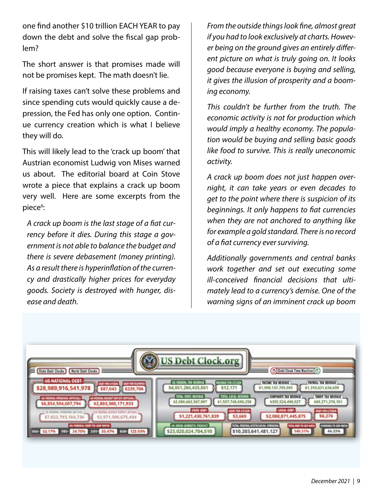one find another \$10 trillion EACH YEAR to pay down the debt and solve the fiscal gap problem?

The short answer is that promises made will not be promises kept. The math doesn't lie.

If raising taxes can't solve these problems and since spending cuts would quickly cause a depression, the Fed has only one option. Continue currency creation which is what I believe they will do.

This will likely lead to the 'crack up boom' that Austrian economist Ludwig von Mises warned us about. The editorial board at Coin Stove wrote a piece that explains a crack up boom very well. Here are some excerpts from the piece<sup>6</sup>:

*A crack up boom is the last stage of a fiat currency before it dies. During this stage a government is not able to balance the budget and there is severe debasement (money printing). As a result there is hyperinflation of the currency and drastically higher prices for everyday goods. Society is destroyed with hunger, disease and death.*

*From the outside things look fine, almost great if you had to look exclusively at charts. However being on the ground gives an entirely different picture on what is truly going on. It looks good because everyone is buying and selling, it gives the illusion of prosperity and a booming economy.*

*This couldn't be further from the truth. The economic activity is not for production which would imply a healthy economy. The population would be buying and selling basic goods like food to survive. This is really uneconomic activity.*

*A crack up boom does not just happen overnight, it can take years or even decades to get to the point where there is suspicion of its beginnings. It only happens to fiat currencies when they are not anchored to anything like for example a gold standard. There is no record of a fiat currency ever surviving.*

*Additionally governments and central banks work together and set out executing some ill-conceived financial decisions that ultimately lead to a currency's demise. One of the warning signs of an imminent crack up boom* 

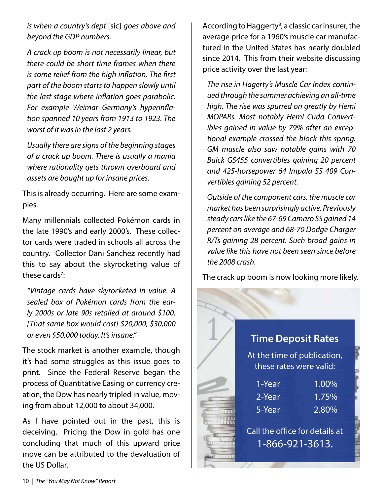*is when a country's dept* [sic] *goes above and beyond the GDP numbers.*

*A crack up boom is not necessarily linear, but there could be short time frames when there is some relief from the high inflation. The first part of the boom starts to happen slowly until the last stage where inflation goes parabolic. For example Weimar Germany's hyperinflation spanned 10 years from 1913 to 1923. The worst of it was in the last 2 years.*

*Usually there are signs of the beginning stages of a crack up boom. There is usually a mania where rationality gets thrown overboard and assets are bought up for insane prices.*

This is already occurring. Here are some examples.

Many millennials collected Pokémon cards in the late 1990's and early 2000's. These collector cards were traded in schools all across the country. Collector Dani Sanchez recently had this to say about the skyrocketing value of these cards<sup>7</sup>:

*"Vintage cards have skyrocketed in value. A sealed box of Pokémon cards from the early 2000s or late 90s retailed at around \$100. [That same box would cost] \$20,000, \$30,000 or even \$50,000 today. It's insane."*

The stock market is another example, though it's had some struggles as this issue goes to print. Since the Federal Reserve began the process of Quantitative Easing or currency creation, the Dow has nearly tripled in value, moving from about 12,000 to about 34,000.

As I have pointed out in the past, this is deceiving. Pricing the Dow in gold has one concluding that much of this upward price move can be attributed to the devaluation of the US Dollar.

According to Haggerty<sup>8</sup>, a classic car insurer, the average price for a 1960's muscle car manufactured in the United States has nearly doubled since 2014. This from their website discussing price activity over the last year:

*The rise in Hagerty's Muscle Car Index continued through the summer achieving an all-time high. The rise was spurred on greatly by Hemi MOPARs. Most notably Hemi Cuda Convertibles gained in value by 79% after an exceptional example crossed the block this spring. GM muscle also saw notable gains with 70 Buick GS455 convertibles gaining 20 percent and 425-horsepower 64 Impala SS 409 Convertibles gaining 52 percent.*

*Outside of the component cars, the muscle car market has been surprisingly active. Previously steady cars like the 67-69 Camaro SS gained 14 percent on average and 68-70 Dodge Charger R/Ts gaining 28 percent. Such broad gains in value like this have not been seen since before the 2008 crash.*

The crack up boom is now looking more likely.

#### Time Deposit Rates

At the time of publication, these rates were valid:

| 1-Year | 1.00% |
|--------|-------|
| 2-Year | 1.75% |
| 5-Year | 2.80% |
|        |       |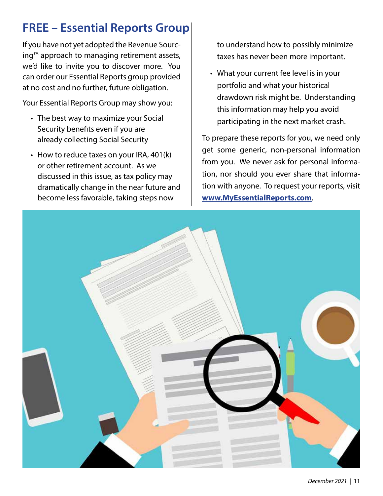# FREE – Essential Reports Group

If you have not yet adopted the Revenue Sourcing™ approach to managing retirement assets, we'd like to invite you to discover more. You can order our Essential Reports group provided at no cost and no further, future obligation.

Your Essential Reports Group may show you:

- The best way to maximize your Social Security benefits even if you are already collecting Social Security
- How to reduce taxes on your IRA, 401(k) or other retirement account. As we discussed in this issue, as tax policy may dramatically change in the near future and become less favorable, taking steps now

to understand how to possibly minimize taxes has never been more important.

• What your current fee level is in your portfolio and what your historical drawdown risk might be. Understanding this information may help you avoid participating in the next market crash.

To prepare these reports for you, we need only get some generic, non-personal information from you. We never ask for personal information, nor should you ever share that information with anyone. To request your reports, visit **www.MyEssentialReports.com**.